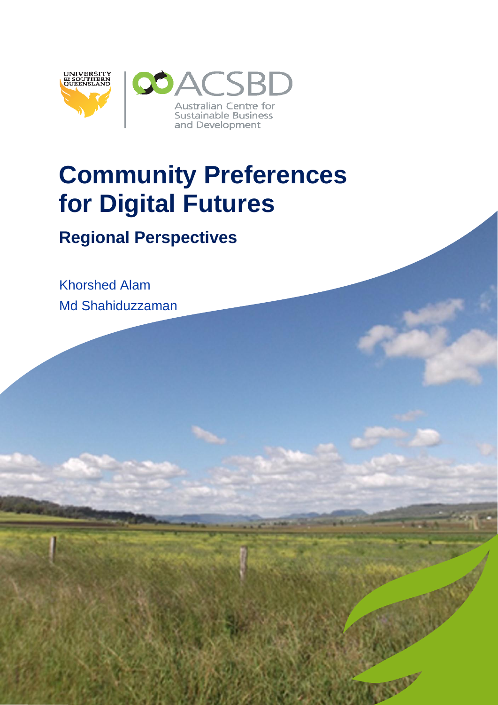

# **Community Preferences for Digital Futures**

**Regional Perspectives**

Khorshed Alam Md Shahiduzzaman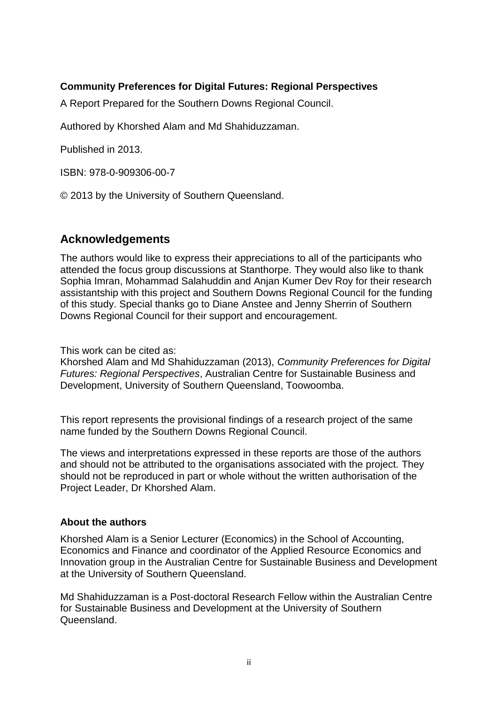# **Community Preferences for Digital Futures: Regional Perspectives**

A Report Prepared for the Southern Downs Regional Council.

Authored by Khorshed Alam and Md Shahiduzzaman.

Published in 2013.

ISBN: 978-0-909306-00-7

© 2013 by the University of Southern Queensland.

# <span id="page-1-0"></span>**Acknowledgements**

The authors would like to express their appreciations to all of the participants who attended the focus group discussions at Stanthorpe. They would also like to thank Sophia Imran, Mohammad Salahuddin and Anjan Kumer Dev Roy for their research assistantship with this project and Southern Downs Regional Council for the funding of this study. Special thanks go to Diane Anstee and Jenny Sherrin of Southern Downs Regional Council for their support and encouragement.

This work can be cited as:

Khorshed Alam and Md Shahiduzzaman (2013), *Community Preferences for Digital Futures: Regional Perspectives*, Australian Centre for Sustainable Business and Development, University of Southern Queensland, Toowoomba.

This report represents the provisional findings of a research project of the same name funded by the Southern Downs Regional Council.

The views and interpretations expressed in these reports are those of the authors and should not be attributed to the organisations associated with the project. They should not be reproduced in part or whole without the written authorisation of the Project Leader, Dr Khorshed Alam.

#### **About the authors**

Khorshed Alam is a Senior Lecturer (Economics) in the School of Accounting, Economics and Finance and coordinator of the Applied Resource Economics and Innovation group in the Australian Centre for Sustainable Business and Development at the University of Southern Queensland.

Md Shahiduzzaman is a Post-doctoral Research Fellow within the Australian Centre for Sustainable Business and Development at the University of Southern Queensland.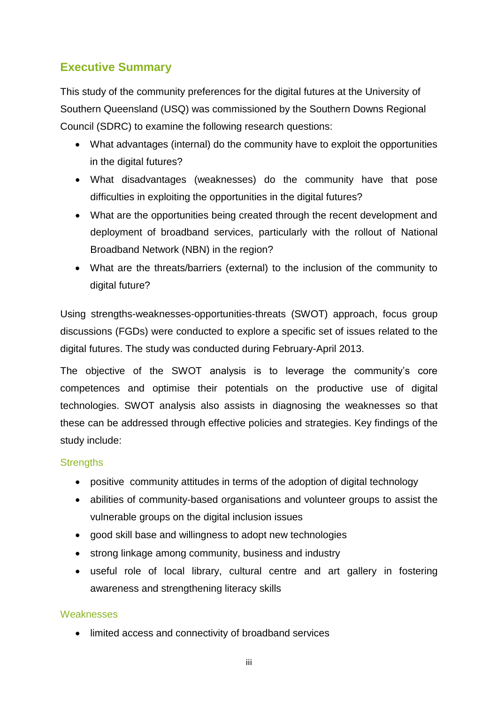# <span id="page-2-0"></span>**Executive Summary**

This study of the community preferences for the digital futures at the University of Southern Queensland (USQ) was commissioned by the Southern Downs Regional Council (SDRC) to examine the following research questions:

- What advantages (internal) do the community have to exploit the opportunities in the digital futures?
- What disadvantages (weaknesses) do the community have that pose difficulties in exploiting the opportunities in the digital futures?
- What are the opportunities being created through the recent development and deployment of broadband services, particularly with the rollout of National Broadband Network (NBN) in the region?
- What are the threats/barriers (external) to the inclusion of the community to digital future?

Using strengths-weaknesses-opportunities-threats (SWOT) approach, focus group discussions (FGDs) were conducted to explore a specific set of issues related to the digital futures. The study was conducted during February-April 2013.

The objective of the SWOT analysis is to leverage the community's core competences and optimise their potentials on the productive use of digital technologies. SWOT analysis also assists in diagnosing the weaknesses so that these can be addressed through effective policies and strategies. Key findings of the study include:

# **Strengths**

- positive community attitudes in terms of the adoption of digital technology
- abilities of community-based organisations and volunteer groups to assist the vulnerable groups on the digital inclusion issues
- good skill base and willingness to adopt new technologies
- strong linkage among community, business and industry
- useful role of local library, cultural centre and art gallery in fostering awareness and strengthening literacy skills

# **Weaknesses**

• limited access and connectivity of broadband services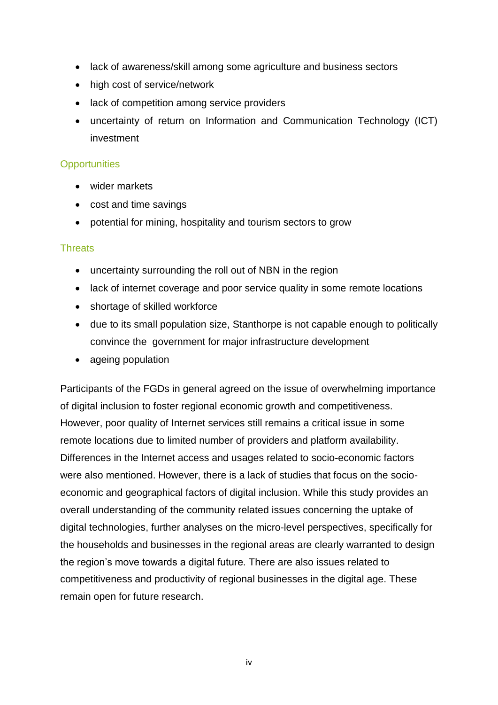- lack of awareness/skill among some agriculture and business sectors
- high cost of service/network
- lack of competition among service providers
- uncertainty of return on Information and Communication Technology (ICT) investment

#### **Opportunities**

- wider markets
- cost and time savings
- potential for mining, hospitality and tourism sectors to grow

#### **Threats**

- uncertainty surrounding the roll out of NBN in the region
- lack of internet coverage and poor service quality in some remote locations
- shortage of skilled workforce
- due to its small population size, Stanthorpe is not capable enough to politically convince the government for major infrastructure development
- ageing population

Participants of the FGDs in general agreed on the issue of overwhelming importance of digital inclusion to foster regional economic growth and competitiveness. However, poor quality of Internet services still remains a critical issue in some remote locations due to limited number of providers and platform availability. Differences in the Internet access and usages related to socio-economic factors were also mentioned. However, there is a lack of studies that focus on the socioeconomic and geographical factors of digital inclusion. While this study provides an overall understanding of the community related issues concerning the uptake of digital technologies, further analyses on the micro-level perspectives, specifically for the households and businesses in the regional areas are clearly warranted to design the region's move towards a digital future. There are also issues related to competitiveness and productivity of regional businesses in the digital age. These remain open for future research.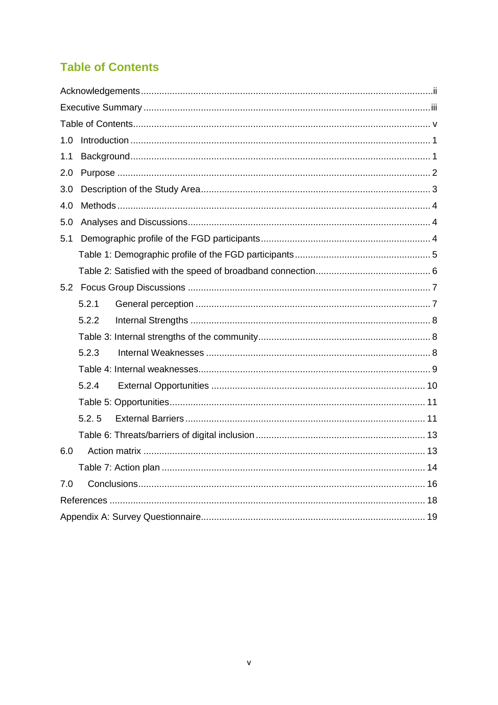# <span id="page-4-0"></span>**Table of Contents**

| 1.0 |       |  |
|-----|-------|--|
| 1.1 |       |  |
| 2.0 |       |  |
| 3.0 |       |  |
| 4.0 |       |  |
| 5.0 |       |  |
| 5.1 |       |  |
|     |       |  |
|     |       |  |
|     |       |  |
|     | 5.2.1 |  |
|     | 5.2.2 |  |
|     |       |  |
|     | 5.2.3 |  |
|     |       |  |
|     | 5.2.4 |  |
|     |       |  |
|     | 5.2.5 |  |
|     |       |  |
| 6.0 |       |  |
|     |       |  |
| 7.0 |       |  |
|     |       |  |
|     |       |  |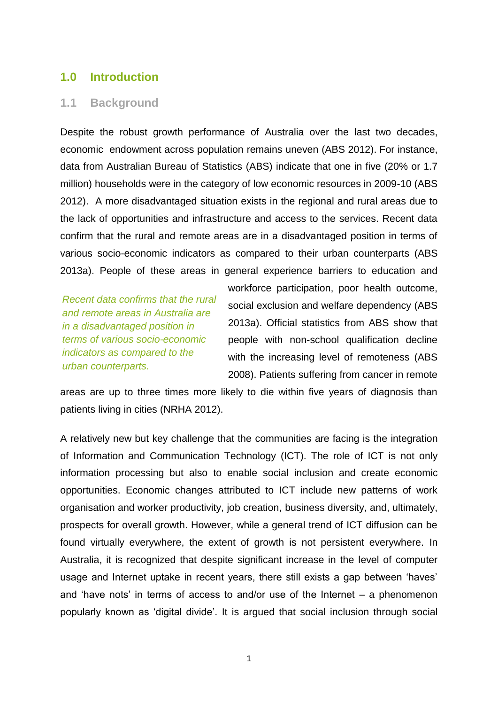### <span id="page-5-0"></span>**1.0 Introduction**

#### <span id="page-5-1"></span>**1.1 Background**

Despite the robust growth performance of Australia over the last two decades, economic endowment across population remains uneven (ABS 2012). For instance, data from Australian Bureau of Statistics (ABS) indicate that one in five (20% or 1.7 million) households were in the category of low economic resources in 2009-10 (ABS 2012). A more disadvantaged situation exists in the regional and rural areas due to the lack of opportunities and infrastructure and access to the services. Recent data confirm that the rural and remote areas are in a disadvantaged position in terms of various socio-economic indicators as compared to their urban counterparts (ABS 2013a). People of these areas in general experience barriers to education and

*Recent data confirms that the rural and remote areas in Australia are in a disadvantaged position in terms of various socio-economic indicators as compared to the urban counterparts.*

workforce participation, poor health outcome, social exclusion and welfare dependency (ABS 2013a). Official statistics from ABS show that people with non-school qualification decline with the increasing level of remoteness (ABS 2008). Patients suffering from cancer in remote

areas are up to three times more likely to die within five years of diagnosis than patients living in cities (NRHA 2012).

A relatively new but key challenge that the communities are facing is the integration of Information and Communication Technology (ICT). The role of ICT is not only information processing but also to enable social inclusion and create economic opportunities. Economic changes attributed to ICT include new patterns of work organisation and worker productivity, job creation, business diversity, and, ultimately, prospects for overall growth. However, while a general trend of ICT diffusion can be found virtually everywhere, the extent of growth is not persistent everywhere. In Australia, it is recognized that despite significant increase in the level of computer usage and Internet uptake in recent years, there still exists a gap between 'haves' and 'have nots' in terms of access to and/or use of the Internet – a phenomenon popularly known as 'digital divide'. It is argued that social inclusion through social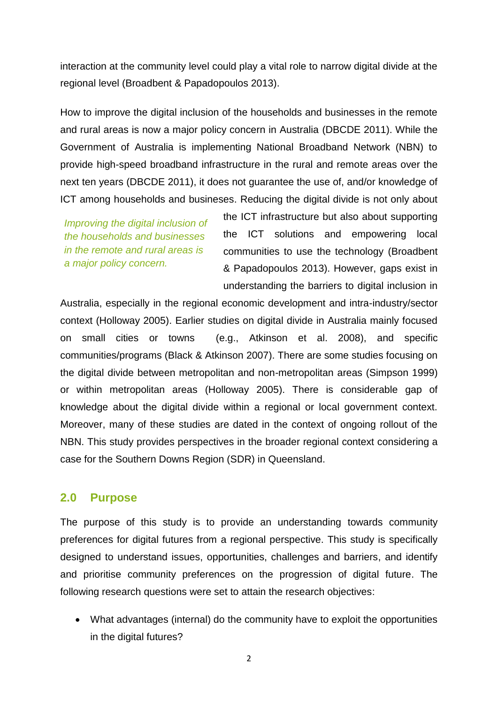interaction at the community level could play a vital role to narrow digital divide at the regional level (Broadbent & Papadopoulos 2013).

How to improve the digital inclusion of the households and businesses in the remote and rural areas is now a major policy concern in Australia (DBCDE 2011). While the Government of Australia is implementing National Broadband Network (NBN) to provide high-speed broadband infrastructure in the rural and remote areas over the next ten years (DBCDE 2011), it does not guarantee the use of, and/or knowledge of ICT among households and busineses. Reducing the digital divide is not only about

*Improving the digital inclusion of the households and businesses in the remote and rural areas is a major policy concern.*

the ICT infrastructure but also about supporting the ICT solutions and empowering local communities to use the technology (Broadbent & Papadopoulos 2013). However, gaps exist in understanding the barriers to digital inclusion in

Australia, especially in the regional economic development and intra-industry/sector context (Holloway 2005). Earlier studies on digital divide in Australia mainly focused on small cities or towns (e.g., Atkinson et al. 2008), and specific communities/programs (Black & Atkinson 2007). There are some studies focusing on the digital divide between metropolitan and non-metropolitan areas (Simpson 1999) or within metropolitan areas (Holloway 2005). There is considerable gap of knowledge about the digital divide within a regional or local government context. Moreover, many of these studies are dated in the context of ongoing rollout of the NBN. This study provides perspectives in the broader regional context considering a case for the Southern Downs Region (SDR) in Queensland.

# <span id="page-6-0"></span>**2.0 Purpose**

The purpose of this study is to provide an understanding towards community preferences for digital futures from a regional perspective. This study is specifically designed to understand issues, opportunities, challenges and barriers, and identify and prioritise community preferences on the progression of digital future. The following research questions were set to attain the research objectives:

 What advantages (internal) do the community have to exploit the opportunities in the digital futures?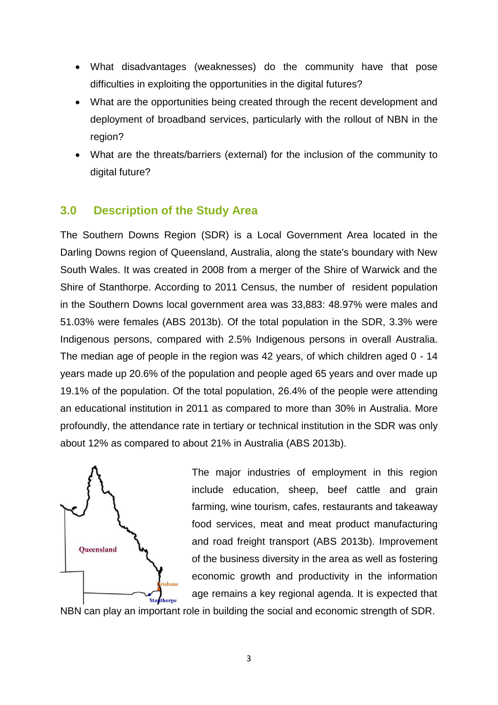- What disadvantages (weaknesses) do the community have that pose difficulties in exploiting the opportunities in the digital futures?
- What are the opportunities being created through the recent development and deployment of broadband services, particularly with the rollout of NBN in the region?
- What are the threats/barriers (external) for the inclusion of the community to digital future?

# <span id="page-7-0"></span>**3.0 Description of the Study Area**

The Southern Downs Region (SDR) is a Local Government Area located in the Darling Downs region of Queensland, Australia, along the state's boundary with New South Wales. It was created in 2008 from a merger of the Shire of Warwick and the Shire of Stanthorpe. According to 2011 Census, the number of resident population in the Southern Downs local government area was 33,883: 48.97% were males and 51.03% were females (ABS 2013b). Of the total population in the SDR, 3.3% were Indigenous persons, compared with 2.5% Indigenous persons in overall Australia. The median age of people in the region was 42 years, of which children aged 0 - 14 years made up 20.6% of the population and people aged 65 years and over made up 19.1% of the population. Of the total population, 26.4% of the people were attending an educational institution in 2011 as compared to more than 30% in Australia. More profoundly, the attendance rate in tertiary or technical institution in the SDR was only about 12% as compared to about 21% in Australia (ABS 2013b).



The major industries of employment in this region include education, sheep, beef cattle and grain farming, wine tourism, cafes, restaurants and takeaway food services, meat and meat product manufacturing and road freight transport (ABS 2013b). Improvement of the business diversity in the area as well as fostering economic growth and productivity in the information age remains a key regional agenda. It is expected that

NBN can play an important role in building the social and economic strength of SDR.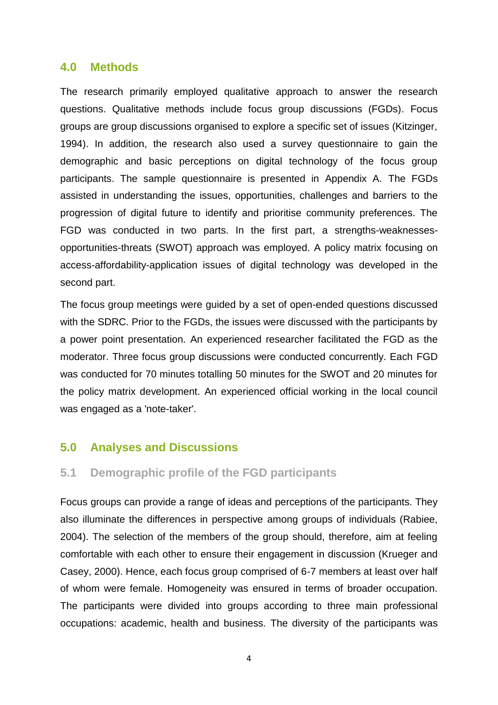#### <span id="page-8-0"></span>**4.0 Methods**

The research primarily employed qualitative approach to answer the research questions. Qualitative methods include focus group discussions (FGDs). Focus groups are group discussions organised to explore a specific set of issues (Kitzinger, 1994). In addition, the research also used a survey questionnaire to gain the demographic and basic perceptions on digital technology of the focus group participants. The sample questionnaire is presented in Appendix A. The FGDs assisted in understanding the issues, opportunities, challenges and barriers to the progression of digital future to identify and prioritise community preferences. The FGD was conducted in two parts. In the first part, a strengths-weaknessesopportunities-threats (SWOT) approach was employed. A policy matrix focusing on access-affordability-application issues of digital technology was developed in the second part.

The focus group meetings were guided by a set of open-ended questions discussed with the SDRC. Prior to the FGDs, the issues were discussed with the participants by a power point presentation. An experienced researcher facilitated the FGD as the moderator. Three focus group discussions were conducted concurrently. Each FGD was conducted for 70 minutes totalling 50 minutes for the SWOT and 20 minutes for the policy matrix development. An experienced official working in the local council was engaged as a 'note-taker'.

# <span id="page-8-1"></span>**5.0 Analyses and Discussions**

# <span id="page-8-2"></span>**5.1 Demographic profile of the FGD participants**

Focus groups can provide a range of ideas and perceptions of the participants. They also illuminate the differences in perspective among groups of individuals (Rabiee, 2004). The selection of the members of the group should, therefore, aim at feeling comfortable with each other to ensure their engagement in discussion (Krueger and Casey, 2000). Hence, each focus group comprised of 6-7 members at least over half of whom were female. Homogeneity was ensured in terms of broader occupation. The participants were divided into groups according to three main professional occupations: academic, health and business. The diversity of the participants was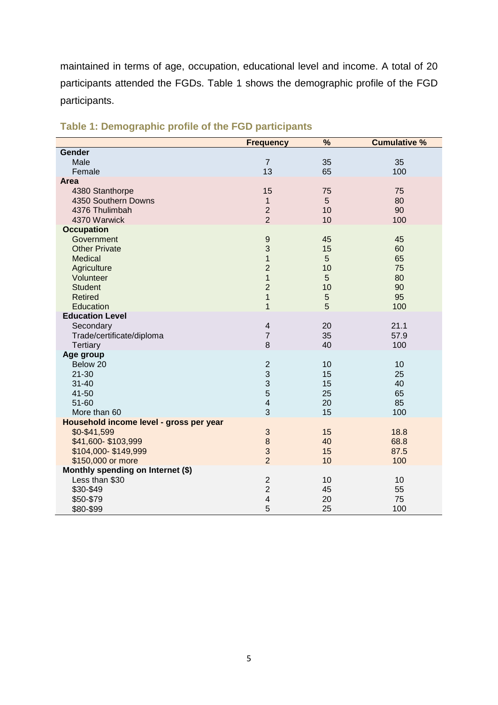maintained in terms of age, occupation, educational level and income. A total of 20 participants attended the FGDs. Table 1 shows the demographic profile of the FGD participants.

|                                                     | <b>Frequency</b>                 | $\overline{\frac{9}{6}}$ | <b>Cumulative %</b> |
|-----------------------------------------------------|----------------------------------|--------------------------|---------------------|
| Gender                                              |                                  |                          |                     |
| Male                                                | $\overline{7}$                   | 35                       | 35                  |
| Female                                              | 13                               | 65                       | 100                 |
| Area                                                |                                  |                          |                     |
| 4380 Stanthorpe                                     | 15                               | 75                       | 75                  |
| 4350 Southern Downs                                 | $\mathbf{1}$                     | 5                        | 80                  |
| 4376 Thulimbah                                      | $\overline{2}$                   | 10                       | 90                  |
| 4370 Warwick                                        | $\overline{2}$                   | 10                       | 100                 |
| <b>Occupation</b>                                   |                                  |                          |                     |
| Government                                          | $\boldsymbol{9}$                 | 45                       | 45                  |
| <b>Other Private</b>                                | 3                                | 15                       | 60                  |
| <b>Medical</b>                                      | $\mathbf{1}$                     | 5                        | 65                  |
| Agriculture                                         | $\overline{2}$                   | 10                       | 75                  |
| Volunteer                                           | $\overline{1}$                   | 5                        | 80                  |
| <b>Student</b>                                      | $\overline{2}$                   | 10                       | 90                  |
| <b>Retired</b>                                      | $\mathbf{1}$                     | 5                        | 95                  |
| Education                                           | $\overline{1}$                   | 5                        | 100                 |
| <b>Education Level</b>                              |                                  |                          |                     |
| Secondary                                           | $\overline{\mathbf{4}}$          | 20                       | 21.1                |
| Trade/certificate/diploma                           | $\overline{7}$                   | 35                       | 57.9                |
| Tertiary                                            | 8                                | 40                       | 100                 |
| Age group                                           |                                  |                          |                     |
| Below 20                                            | $\overline{2}$                   | 10                       | 10                  |
| $21 - 30$                                           | $\mathbf{3}$                     | 15                       | 25                  |
| $31 - 40$                                           | 3                                | 15                       | 40                  |
| 41-50                                               | 5                                | 25                       | 65                  |
| $51 - 60$                                           | 4                                | 20                       | 85                  |
| More than 60                                        | 3                                | 15                       | 100                 |
| Household income level - gross per year             |                                  |                          |                     |
| \$0-\$41,599                                        | $\mathbf{3}$                     | 15                       | 18.8                |
| \$41,600-\$103,999                                  | $\bf 8$                          | 40                       | 68.8                |
| \$104,000-\$149,999                                 | 3<br>$\overline{2}$              | 15                       | 87.5                |
| \$150,000 or more                                   |                                  | 10                       | 100                 |
| Monthly spending on Internet (\$)<br>Less than \$30 |                                  |                          |                     |
|                                                     | $\overline{c}$<br>$\overline{2}$ | 10<br>45                 | 10<br>55            |
| \$30-\$49                                           |                                  |                          |                     |
| \$50-\$79                                           | 4<br>5                           | 20                       | 75                  |
| \$80-\$99                                           |                                  | 25                       | 100                 |

# <span id="page-9-0"></span>**Table 1: Demographic profile of the FGD participants**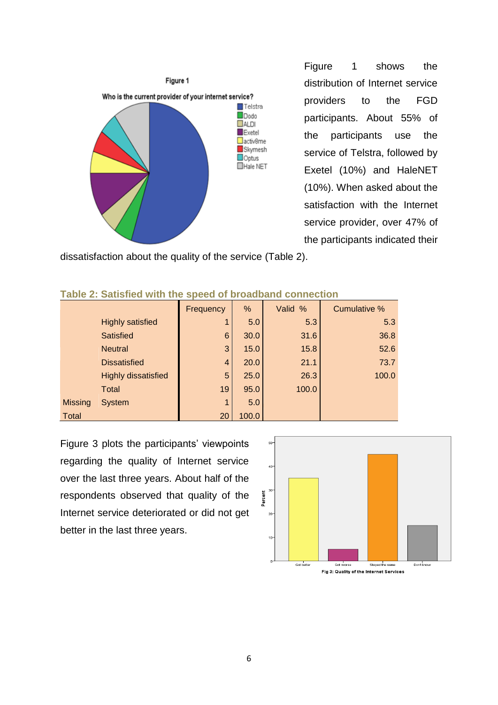

Figure 1 shows the distribution of Internet service providers to the FGD participants. About 55% of the participants use the service of Telstra, followed by Exetel (10%) and HaleNET (10%). When asked about the satisfaction with the Internet service provider, over 47% of the participants indicated their

dissatisfaction about the quality of the service (Table 2).

|                |                            | Frequency       | %     | Valid % | Cumulative % |
|----------------|----------------------------|-----------------|-------|---------|--------------|
|                | <b>Highly satisfied</b>    |                 | 5.0   | 5.3     | 5.3          |
|                | <b>Satisfied</b>           | $6\phantom{1}6$ | 30.0  | 31.6    | 36.8         |
|                | <b>Neutral</b>             | 3               | 15.0  | 15.8    | 52.6         |
|                | <b>Dissatisfied</b>        | $\overline{4}$  | 20.0  | 21.1    | 73.7         |
|                | <b>Highly dissatisfied</b> | 5               | 25.0  | 26.3    | 100.0        |
|                | <b>Total</b>               | 19              | 95.0  | 100.0   |              |
| <b>Missing</b> | <b>System</b>              | 1               | 5.0   |         |              |
| <b>Total</b>   |                            | 20              | 100.0 |         |              |

#### <span id="page-10-0"></span>**Table 2: Satisfied with the speed of broadband connection**

Figure 3 plots the participants' viewpoints regarding the quality of Internet service over the last three years. About half of the respondents observed that quality of the Internet service deteriorated or did not get better in the last three years.

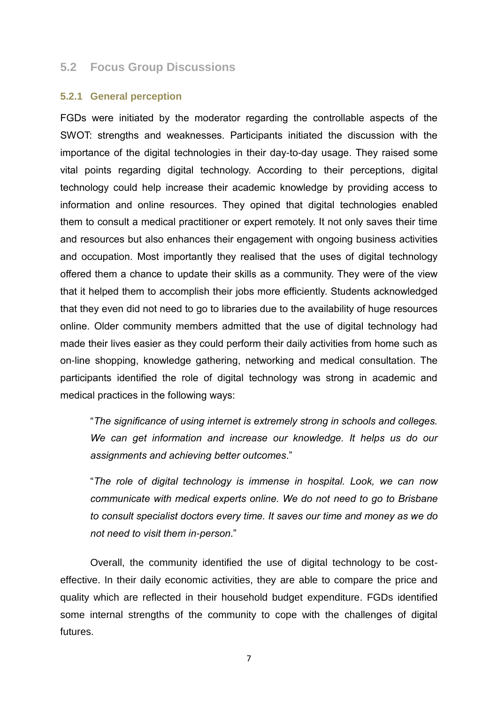#### <span id="page-11-0"></span>**5.2 Focus Group Discussions**

#### <span id="page-11-1"></span>**5.2.1 General perception**

FGDs were initiated by the moderator regarding the controllable aspects of the SWOT: strengths and weaknesses. Participants initiated the discussion with the importance of the digital technologies in their day-to-day usage. They raised some vital points regarding digital technology. According to their perceptions, digital technology could help increase their academic knowledge by providing access to information and online resources. They opined that digital technologies enabled them to consult a medical practitioner or expert remotely. It not only saves their time and resources but also enhances their engagement with ongoing business activities and occupation. Most importantly they realised that the uses of digital technology offered them a chance to update their skills as a community. They were of the view that it helped them to accomplish their jobs more efficiently. Students acknowledged that they even did not need to go to libraries due to the availability of huge resources online. Older community members admitted that the use of digital technology had made their lives easier as they could perform their daily activities from home such as on-line shopping, knowledge gathering, networking and medical consultation. The participants identified the role of digital technology was strong in academic and medical practices in the following ways:

"*The significance of using internet is extremely strong in schools and colleges. We can get information and increase our knowledge. It helps us do our assignments and achieving better outcomes*."

"*The role of digital technology is immense in hospital. Look, we can now communicate with medical experts online. We do not need to go to Brisbane to consult specialist doctors every time. It saves our time and money as we do not need to visit them in-person*."

Overall, the community identified the use of digital technology to be costeffective. In their daily economic activities, they are able to compare the price and quality which are reflected in their household budget expenditure. FGDs identified some internal strengths of the community to cope with the challenges of digital futures.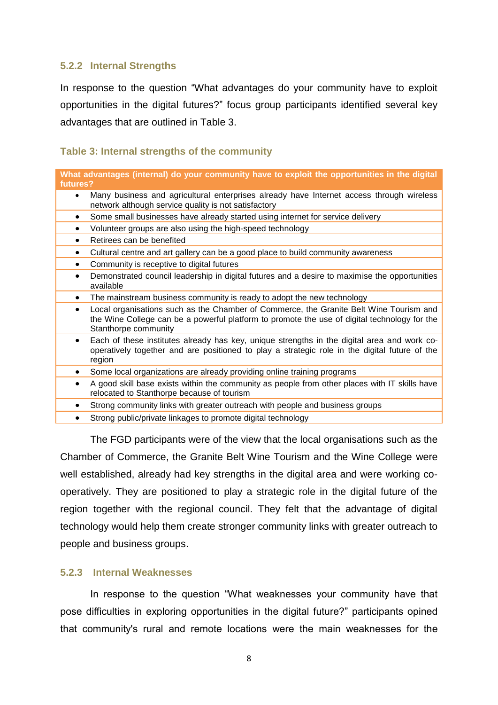#### <span id="page-12-0"></span>**5.2.2 Internal Strengths**

In response to the question "What advantages do your community have to exploit opportunities in the digital futures?" focus group participants identified several key advantages that are outlined in Table 3.

#### <span id="page-12-1"></span>**Table 3: Internal strengths of the community**

**What advantages (internal) do your community have to exploit the opportunities in the digital futures?** 

- Many business and agricultural enterprises already have Internet access through wireless network although service quality is not satisfactory
- Some small businesses have already started using internet for service delivery
- Volunteer groups are also using the high-speed technology
- Retirees can be benefited
- Cultural centre and art gallery can be a good place to build community awareness
- Community is receptive to digital futures
- Demonstrated council leadership in digital futures and a desire to maximise the opportunities available
- The mainstream business community is ready to adopt the new technology
- Local organisations such as the Chamber of Commerce, the Granite Belt Wine Tourism and the Wine College can be a powerful platform to promote the use of digital technology for the Stanthorpe community
- Each of these institutes already has key, unique strengths in the digital area and work cooperatively together and are positioned to play a strategic role in the digital future of the region
- Some local organizations are already providing online training programs
- A good skill base exists within the community as people from other places with IT skills have relocated to Stanthorpe because of tourism
- Strong community links with greater outreach with people and business groups
- Strong public/private linkages to promote digital technology

The FGD participants were of the view that the local organisations such as the Chamber of Commerce, the Granite Belt Wine Tourism and the Wine College were well established, already had key strengths in the digital area and were working cooperatively. They are positioned to play a strategic role in the digital future of the region together with the regional council. They felt that the advantage of digital technology would help them create stronger community links with greater outreach to people and business groups.

#### <span id="page-12-2"></span>**5.2.3 Internal Weaknesses**

In response to the question "What weaknesses your community have that pose difficulties in exploring opportunities in the digital future?" participants opined that community's rural and remote locations were the main weaknesses for the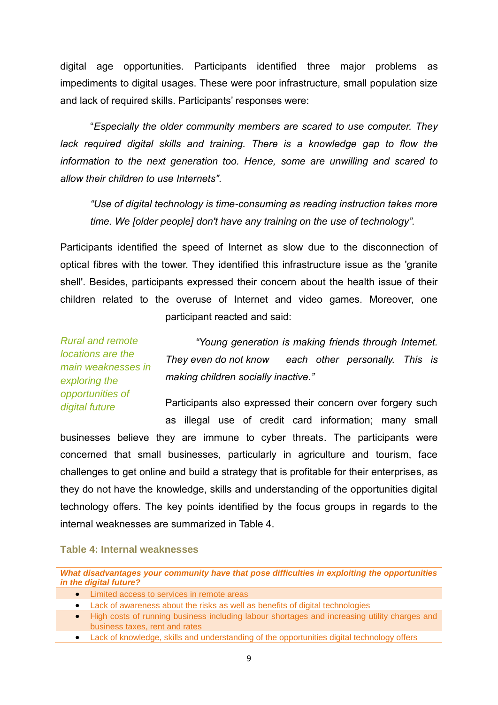digital age opportunities. Participants identified three major problems as impediments to digital usages. These were poor infrastructure, small population size and lack of required skills. Participants' responses were:

"*Especially the older community members are scared to use computer. They lack required digital skills and training. There is a knowledge gap to flow the information to the next generation too. Hence, some are unwilling and scared to allow their children to use Internets".* 

*"Use of digital technology is time-consuming as reading instruction takes more time. We [older people] don't have any training on the use of technology".* 

Participants identified the speed of Internet as slow due to the disconnection of optical fibres with the tower. They identified this infrastructure issue as the 'granite shell'. Besides, participants expressed their concern about the health issue of their children related to the overuse of Internet and video games. Moreover, one participant reacted and said:

*Rural and remote locations are the main weaknesses in exploring the opportunities of digital future*

*"Young generation is making friends through Internet. They even do not know each other personally. This is making children socially inactive."*

Participants also expressed their concern over forgery such as illegal use of credit card information; many small

businesses believe they are immune to cyber threats. The participants were concerned that small businesses, particularly in agriculture and tourism, face challenges to get online and build a strategy that is profitable for their enterprises, as they do not have the knowledge, skills and understanding of the opportunities digital technology offers. The key points identified by the focus groups in regards to the internal weaknesses are summarized in Table 4.

#### <span id="page-13-0"></span>**Table 4: Internal weaknesses**

*What disadvantages your community have that pose difficulties in exploiting the opportunities in the digital future?* 

- Limited access to services in remote areas
- Lack of awareness about the risks as well as benefits of digital technologies
- High costs of running business including labour shortages and increasing utility charges and business taxes, rent and rates
- Lack of knowledge, skills and understanding of the opportunities digital technology offers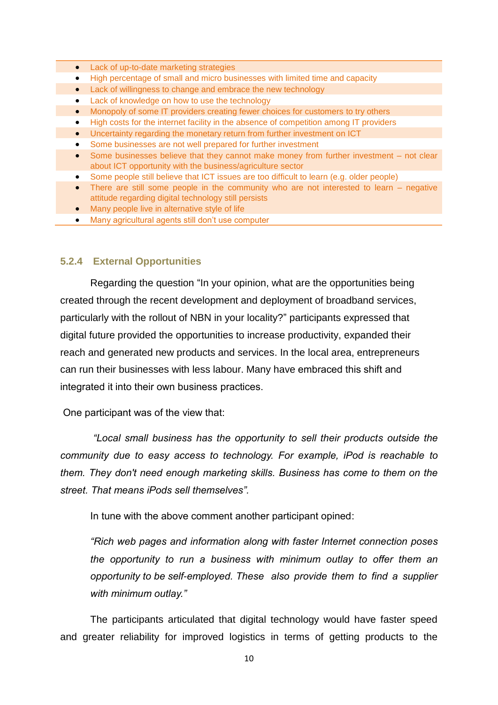- **•** Lack of up-to-date marketing strategies
	- High percentage of small and micro businesses with limited time and capacity
	- Lack of willingness to change and embrace the new technology
	- Lack of knowledge on how to use the technology
	- Monopoly of some IT providers creating fewer choices for customers to try others
	- High costs for the internet facility in the absence of competition among IT providers
	- Uncertainty regarding the monetary return from further investment on ICT
	- Some businesses are not well prepared for further investment
	- Some businesses believe that they cannot make money from further investment not clear about ICT opportunity with the business/agriculture sector
	- Some people still believe that ICT issues are too difficult to learn (e.g. older people)
	- There are still some people in the community who are not interested to learn negative attitude regarding digital technology still persists
	- Many people live in alternative style of life
	- Many agricultural agents still don't use computer

#### <span id="page-14-0"></span>**5.2.4 External Opportunities**

Regarding the question "In your opinion, what are the opportunities being created through the recent development and deployment of broadband services, particularly with the rollout of NBN in your locality?" participants expressed that digital future provided the opportunities to increase productivity, expanded their reach and generated new products and services. In the local area, entrepreneurs can run their businesses with less labour. Many have embraced this shift and integrated it into their own business practices.

One participant was of the view that:

*"Local small business has the opportunity to sell their products outside the community due to easy access to technology. For example, iPod is reachable to them. They don't need enough marketing skills. Business has come to them on the street. That means iPods sell themselves".*

In tune with the above comment another participant opined:

*"Rich web pages and information along with faster Internet connection poses the opportunity to run a business with minimum outlay to offer them an opportunity to be self-employed. These also provide them to find a supplier with minimum outlay."*

The participants articulated that digital technology would have faster speed and greater reliability for improved logistics in terms of getting products to the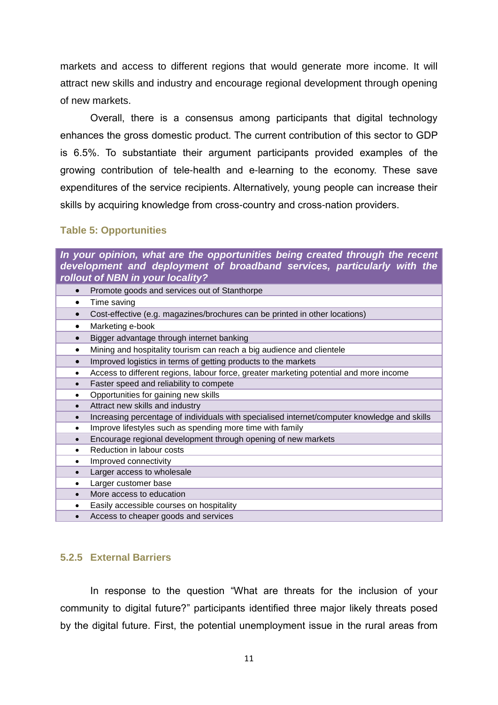markets and access to different regions that would generate more income. It will attract new skills and industry and encourage regional development through opening of new markets.

Overall, there is a consensus among participants that digital technology enhances the gross domestic product. The current contribution of this sector to GDP is 6.5%. To substantiate their argument participants provided examples of the growing contribution of tele-health and e-learning to the economy. These save expenditures of the service recipients. Alternatively, young people can increase their skills by acquiring knowledge from cross-country and cross-nation providers.

#### <span id="page-15-0"></span>**Table 5: Opportunities**

*In your opinion, what are the opportunities being created through the recent development and deployment of broadband services, particularly with the rollout of NBN in your locality?* • Promote goods and services out of Stanthorpe • Time saving Cost-effective (e.g. magazines/brochures can be printed in other locations) • Marketing e-book Bigger advantage through internet banking • Mining and hospitality tourism can reach a big audience and clientele • Improved logistics in terms of getting products to the markets Access to different regions, labour force, greater marketing potential and more income Faster speed and reliability to compete • Opportunities for gaining new skills Attract new skills and industry • Increasing percentage of individuals with specialised internet/computer knowledge and skills • Improve lifestyles such as spending more time with family Encourage regional development through opening of new markets • Reduction in labour costs • Improved connectivity • Larger access to wholesale Larger customer base • More access to education Easily accessible courses on hospitality • Access to cheaper goods and services

#### <span id="page-15-1"></span>**5.2.5 External Barriers**

In response to the question "What are threats for the inclusion of your community to digital future?" participants identified three major likely threats posed by the digital future. First, the potential unemployment issue in the rural areas from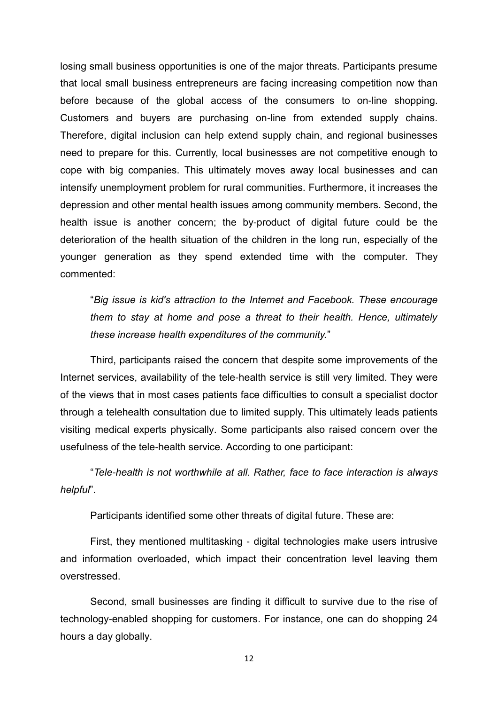losing small business opportunities is one of the major threats. Participants presume that local small business entrepreneurs are facing increasing competition now than before because of the global access of the consumers to on-line shopping. Customers and buyers are purchasing on-line from extended supply chains. Therefore, digital inclusion can help extend supply chain, and regional businesses need to prepare for this. Currently, local businesses are not competitive enough to cope with big companies. This ultimately moves away local businesses and can intensify unemployment problem for rural communities. Furthermore, it increases the depression and other mental health issues among community members. Second, the health issue is another concern; the by-product of digital future could be the deterioration of the health situation of the children in the long run, especially of the younger generation as they spend extended time with the computer. They commented:

"*Big issue is kid's attraction to the Internet and Facebook. These encourage them to stay at home and pose a threat to their health. Hence, ultimately these increase health expenditures of the community.*"

Third, participants raised the concern that despite some improvements of the Internet services, availability of the tele-health service is still very limited. They were of the views that in most cases patients face difficulties to consult a specialist doctor through a telehealth consultation due to limited supply. This ultimately leads patients visiting medical experts physically. Some participants also raised concern over the usefulness of the tele-health service. According to one participant:

"*Tele-health is not worthwhile at all. Rather, face to face interaction is always helpful*".

Participants identified some other threats of digital future. These are:

First, they mentioned multitasking - digital technologies make users intrusive and information overloaded, which impact their concentration level leaving them overstressed.

Second, small businesses are finding it difficult to survive due to the rise of technology-enabled shopping for customers. For instance, one can do shopping 24 hours a day globally.

12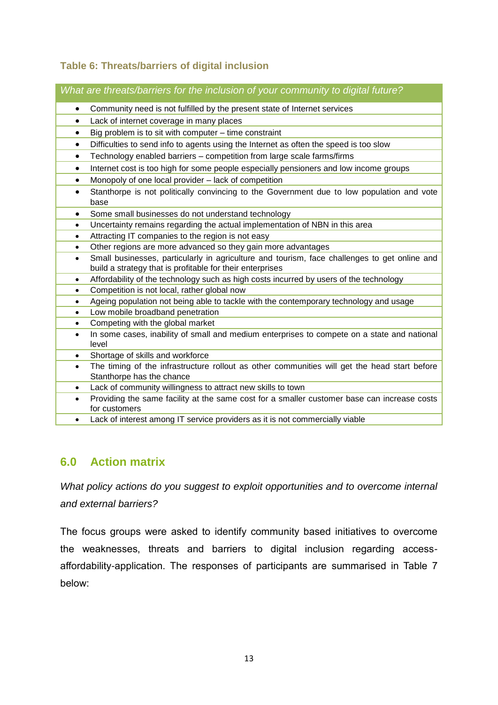# <span id="page-17-0"></span>**Table 6: Threats/barriers of digital inclusion**

*What are threats/barriers for the inclusion of your community to digital future?*

- Community need is not fulfilled by the present state of Internet services
- Lack of internet coverage in many places
- $\bullet$  Big problem is to sit with computer time constraint
- Difficulties to send info to agents using the Internet as often the speed is too slow
- Technology enabled barriers competition from large scale farms/firms
- Internet cost is too high for some people especially pensioners and low income groups
- Monopoly of one local provider lack of competition
- Stanthorpe is not politically convincing to the Government due to low population and vote base
- Some small businesses do not understand technology
- Uncertainty remains regarding the actual implementation of NBN in this area
- Attracting IT companies to the region is not easy
- Other regions are more advanced so they gain more advantages
- Small businesses, particularly in agriculture and tourism, face challenges to get online and build a strategy that is profitable for their enterprises
- Affordability of the technology such as high costs incurred by users of the technology
- Competition is not local, rather global now
- Ageing population not being able to tackle with the contemporary technology and usage
- Low mobile broadband penetration
- Competing with the global market
- In some cases, inability of small and medium enterprises to compete on a state and national level
- Shortage of skills and workforce
- The timing of the infrastructure rollout as other communities will get the head start before Stanthorpe has the chance
- Lack of community willingness to attract new skills to town
- Providing the same facility at the same cost for a smaller customer base can increase costs for customers
- Lack of interest among IT service providers as it is not commercially viable

# <span id="page-17-1"></span>**6.0 Action matrix**

*What policy actions do you suggest to exploit opportunities and to overcome internal and external barriers?*

The focus groups were asked to identify community based initiatives to overcome the weaknesses, threats and barriers to digital inclusion regarding accessaffordability-application. The responses of participants are summarised in Table 7 below: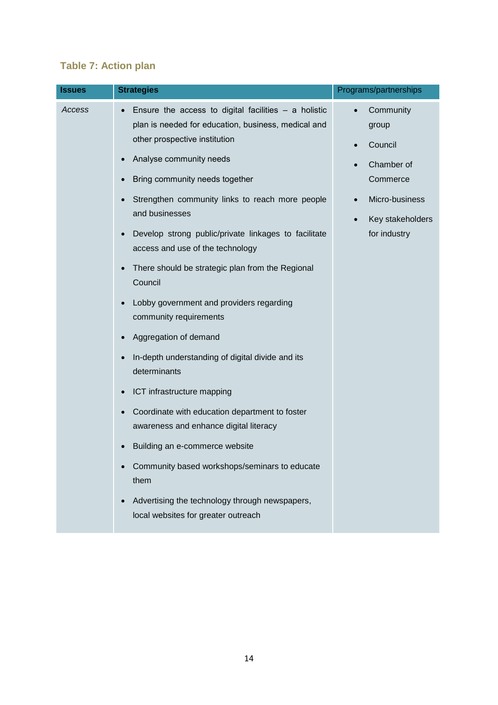# <span id="page-18-0"></span>**Table 7: Action plan**

| <b>Issues</b> | <b>Strategies</b>                                                                                                                                                                                                                                                                                                                                                                                                                                                                                                                                                                                                                                                                              | Programs/partnerships                                                                                         |
|---------------|------------------------------------------------------------------------------------------------------------------------------------------------------------------------------------------------------------------------------------------------------------------------------------------------------------------------------------------------------------------------------------------------------------------------------------------------------------------------------------------------------------------------------------------------------------------------------------------------------------------------------------------------------------------------------------------------|---------------------------------------------------------------------------------------------------------------|
| Access        | Ensure the access to digital facilities $-$ a holistic<br>plan is needed for education, business, medical and<br>other prospective institution<br>Analyse community needs<br>Bring community needs together<br>Strengthen community links to reach more people<br>and businesses<br>Develop strong public/private linkages to facilitate<br>access and use of the technology<br>There should be strategic plan from the Regional<br>Council<br>Lobby government and providers regarding<br>community requirements<br>Aggregation of demand<br>In-depth understanding of digital divide and its<br>determinants<br>ICT infrastructure mapping<br>Coordinate with education department to foster | Community<br>group<br>Council<br>Chamber of<br>Commerce<br>Micro-business<br>Key stakeholders<br>for industry |
|               | awareness and enhance digital literacy<br>Building an e-commerce website                                                                                                                                                                                                                                                                                                                                                                                                                                                                                                                                                                                                                       |                                                                                                               |
|               | Community based workshops/seminars to educate<br>them<br>Advertising the technology through newspapers,<br>local websites for greater outreach                                                                                                                                                                                                                                                                                                                                                                                                                                                                                                                                                 |                                                                                                               |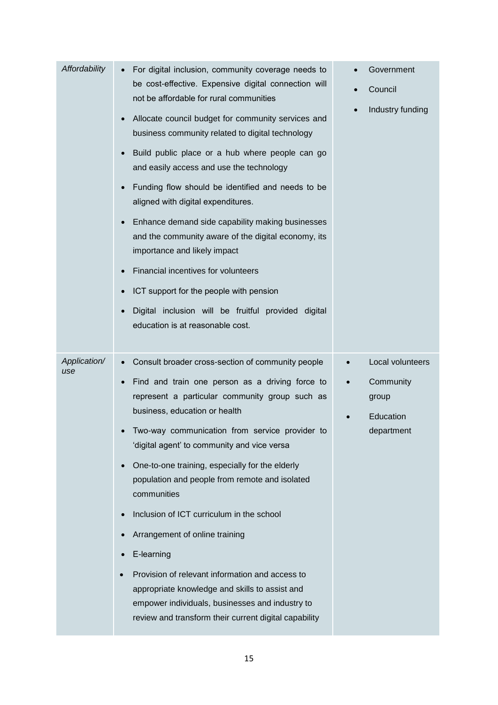| Affordability       | For digital inclusion, community coverage needs to<br>be cost-effective. Expensive digital connection will<br>not be affordable for rural communities<br>Allocate council budget for community services and<br>$\bullet$<br>business community related to digital technology<br>Build public place or a hub where people can go<br>$\bullet$<br>and easily access and use the technology<br>Funding flow should be identified and needs to be<br>$\bullet$<br>aligned with digital expenditures.<br>Enhance demand side capability making businesses<br>$\bullet$<br>and the community aware of the digital economy, its<br>importance and likely impact<br>Financial incentives for volunteers<br>ICT support for the people with pension<br>Digital inclusion will be fruitful provided digital<br>$\bullet$<br>education is at reasonable cost. | Government<br>Council<br>$\bullet$<br>Industry funding<br>$\bullet$ |
|---------------------|----------------------------------------------------------------------------------------------------------------------------------------------------------------------------------------------------------------------------------------------------------------------------------------------------------------------------------------------------------------------------------------------------------------------------------------------------------------------------------------------------------------------------------------------------------------------------------------------------------------------------------------------------------------------------------------------------------------------------------------------------------------------------------------------------------------------------------------------------|---------------------------------------------------------------------|
| Application/<br>use | Consult broader cross-section of community people<br>$\bullet$<br>Find and train one person as a driving force to<br>$\bullet$<br>represent a particular community group such as<br>business, education or health<br>Two-way communication from service provider to<br>'digital agent' to community and vice versa<br>One-to-one training, especially for the elderly<br>$\bullet$<br>population and people from remote and isolated<br>communities<br>Inclusion of ICT curriculum in the school<br>$\bullet$<br>Arrangement of online training<br>E-learning<br>$\bullet$<br>Provision of relevant information and access to<br>$\bullet$<br>appropriate knowledge and skills to assist and<br>empower individuals, businesses and industry to<br>review and transform their current digital capability                                           | Local volunteers<br>Community<br>group<br>Education<br>department   |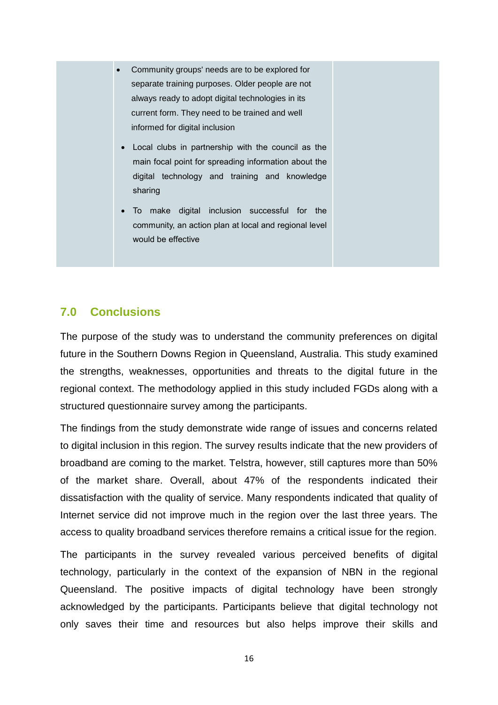- Community groups' needs are to be explored for separate training purposes. Older people are not always ready to adopt digital technologies in its current form. They need to be trained and well informed for digital inclusion
	- Local clubs in partnership with the council as the main focal point for spreading information about the digital technology and training and knowledge sharing
	- To make digital inclusion successful for the community, an action plan at local and regional level would be effective

# <span id="page-20-0"></span>**7.0 Conclusions**

The purpose of the study was to understand the community preferences on digital future in the Southern Downs Region in Queensland, Australia. This study examined the strengths, weaknesses, opportunities and threats to the digital future in the regional context. The methodology applied in this study included FGDs along with a structured questionnaire survey among the participants.

The findings from the study demonstrate wide range of issues and concerns related to digital inclusion in this region. The survey results indicate that the new providers of broadband are coming to the market. Telstra, however, still captures more than 50% of the market share. Overall, about 47% of the respondents indicated their dissatisfaction with the quality of service. Many respondents indicated that quality of Internet service did not improve much in the region over the last three years. The access to quality broadband services therefore remains a critical issue for the region.

The participants in the survey revealed various perceived benefits of digital technology, particularly in the context of the expansion of NBN in the regional Queensland. The positive impacts of digital technology have been strongly acknowledged by the participants. Participants believe that digital technology not only saves their time and resources but also helps improve their skills and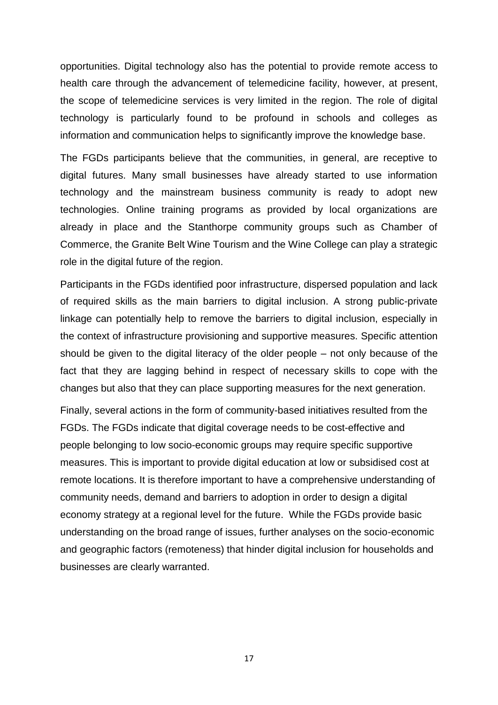opportunities. Digital technology also has the potential to provide remote access to health care through the advancement of telemedicine facility, however, at present, the scope of telemedicine services is very limited in the region. The role of digital technology is particularly found to be profound in schools and colleges as information and communication helps to significantly improve the knowledge base.

The FGDs participants believe that the communities, in general, are receptive to digital futures. Many small businesses have already started to use information technology and the mainstream business community is ready to adopt new technologies. Online training programs as provided by local organizations are already in place and the Stanthorpe community groups such as Chamber of Commerce, the Granite Belt Wine Tourism and the Wine College can play a strategic role in the digital future of the region.

Participants in the FGDs identified poor infrastructure, dispersed population and lack of required skills as the main barriers to digital inclusion. A strong public-private linkage can potentially help to remove the barriers to digital inclusion, especially in the context of infrastructure provisioning and supportive measures. Specific attention should be given to the digital literacy of the older people – not only because of the fact that they are lagging behind in respect of necessary skills to cope with the changes but also that they can place supporting measures for the next generation.

Finally, several actions in the form of community-based initiatives resulted from the FGDs. The FGDs indicate that digital coverage needs to be cost-effective and people belonging to low socio-economic groups may require specific supportive measures. This is important to provide digital education at low or subsidised cost at remote locations. It is therefore important to have a comprehensive understanding of community needs, demand and barriers to adoption in order to design a digital economy strategy at a regional level for the future. While the FGDs provide basic understanding on the broad range of issues, further analyses on the socio-economic and geographic factors (remoteness) that hinder digital inclusion for households and businesses are clearly warranted.

17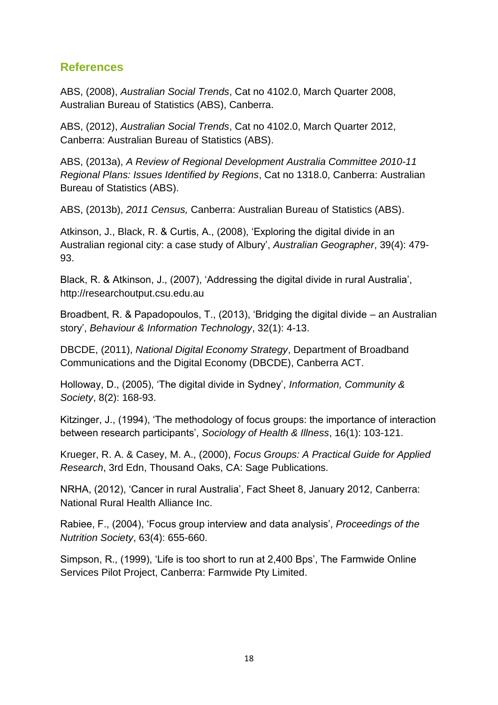# <span id="page-22-0"></span>**References**

ABS, (2008), *Australian Social Trends*, Cat no 4102.0, March Quarter 2008, Australian Bureau of Statistics (ABS), Canberra.

ABS, (2012), *Australian Social Trends*, Cat no 4102.0, March Quarter 2012, Canberra: Australian Bureau of Statistics (ABS).

ABS, (2013a), *A Review of Regional Development Australia Committee 2010-11 Regional Plans: Issues Identified by Regions*, Cat no 1318.0, Canberra: Australian Bureau of Statistics (ABS).

ABS, (2013b), *2011 Census,* Canberra: Australian Bureau of Statistics (ABS).

Atkinson, J., Black, R. & Curtis, A., (2008), 'Exploring the digital divide in an Australian regional city: a case study of Albury', *Australian Geographer*, 39(4): 479- 93.

Black, R. & Atkinson, J., (2007), 'Addressing the digital divide in rural Australia', http://researchoutput.csu.edu.au

Broadbent, R. & Papadopoulos, T., (2013), 'Bridging the digital divide – an Australian story', *Behaviour & Information Technology*, 32(1): 4-13.

DBCDE, (2011), *National Digital Economy Strategy*, Department of Broadband Communications and the Digital Economy (DBCDE), Canberra ACT.

Holloway, D., (2005), 'The digital divide in Sydney', *Information, Community & Society*, 8(2): 168-93.

Kitzinger, J., (1994), 'The methodology of focus groups: the importance of interaction between research participants', *Sociology of Health & Illness*, 16(1): 103-121.

Krueger, R. A. & Casey, M. A., (2000), *Focus Groups: A Practical Guide for Applied Research*, 3rd Edn, Thousand Oaks, CA: Sage Publications.

NRHA, (2012), 'Cancer in rural Australia', Fact Sheet 8, January 2012, Canberra: National Rural Health Alliance Inc.

Rabiee, F., (2004), 'Focus group interview and data analysis', *Proceedings of the Nutrition Society*, 63(4): 655-660.

Simpson, R., (1999), 'Life is too short to run at 2,400 Bps', The Farmwide Online Services Pilot Project, Canberra: Farmwide Pty Limited.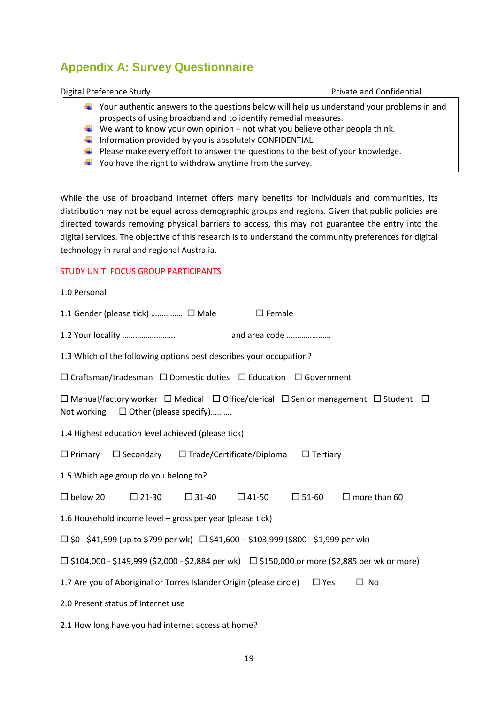# <span id="page-23-0"></span>**Appendix A: Survey Questionnaire**

Digital Preference Study **Private and Confidential** 

- $\ddot{\bullet}$  Your authentic answers to the questions below will help us understand your problems in and prospects of using broadband and to identify remedial measures.
- We want to know your own opinion not what you believe other people think.
- $\ddot{\phantom{1}}$  Information provided by you is absolutely CONFIDENTIAL.
- $\ddot{\bullet}$  Please make every effort to answer the questions to the best of your knowledge.
- $\frac{1}{2}$  You have the right to withdraw anytime from the survey.

While the use of broadband Internet offers many benefits for individuals and communities, its distribution may not be equal across demographic groups and regions. Given that public policies are directed towards removing physical barriers to access, this may not guarantee the entry into the digital services. The objective of this research is to understand the community preferences for digital technology in rural and regional Australia.

#### STUDY UNIT: FOCUS GROUP PARTICIPANTS

| 1.0 Personal                                                                                                                                                   |  |  |  |  |  |  |  |  |
|----------------------------------------------------------------------------------------------------------------------------------------------------------------|--|--|--|--|--|--|--|--|
| 1.1 Gender (please tick)  □ Male<br>$\square$ Female                                                                                                           |  |  |  |  |  |  |  |  |
| and area code<br>1.2 Your locality                                                                                                                             |  |  |  |  |  |  |  |  |
| 1.3 Which of the following options best describes your occupation?                                                                                             |  |  |  |  |  |  |  |  |
| $\Box$ Craftsman/tradesman $\Box$ Domestic duties $\Box$ Education $\Box$ Government                                                                           |  |  |  |  |  |  |  |  |
| $\Box$ Manual/factory worker $\Box$ Medical $\Box$ Office/clerical $\Box$ Senior management $\Box$ Student $\Box$<br>Not working $\Box$ Other (please specify) |  |  |  |  |  |  |  |  |
| 1.4 Highest education level achieved (please tick)                                                                                                             |  |  |  |  |  |  |  |  |
| $\Box$ Primary $\Box$ Secondary $\Box$ Trade/Certificate/Diploma $\Box$ Tertiary                                                                               |  |  |  |  |  |  |  |  |
| 1.5 Which age group do you belong to?                                                                                                                          |  |  |  |  |  |  |  |  |
| $\Box$ below 20<br>$\Box$ 31-40<br>$\square$ 51-60<br>$\Box$ more than 60<br>$\Box$ 21-30<br>$\Box$ 41-50                                                      |  |  |  |  |  |  |  |  |
| 1.6 Household income level – gross per year (please tick)                                                                                                      |  |  |  |  |  |  |  |  |

 $\Box$  \$0 - \$41,599 (up to \$799 per wk)  $\Box$  \$41,600 – \$103,999 (\$800 - \$1,999 per wk)

 $\Box$  \$104,000 - \$149,999 (\$2,000 - \$2,884 per wk)  $\Box$  \$150,000 or more (\$2,885 per wk or more)

1.7 Are you of Aboriginal or Torres Islander Origin (please circle)  $\Box$  Yes  $\Box$  No

2.0 Present status of Internet use

2.1 How long have you had internet access at home?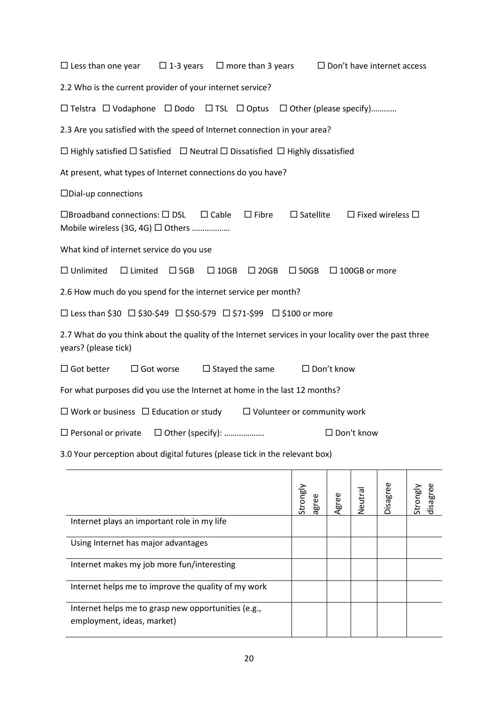| $\square$ Less than one year<br>$\square$ Don't have internet access<br>$\Box$ 1-3 years<br>$\Box$ more than 3 years                                                            |  |  |  |  |  |  |  |  |
|---------------------------------------------------------------------------------------------------------------------------------------------------------------------------------|--|--|--|--|--|--|--|--|
| 2.2 Who is the current provider of your internet service?                                                                                                                       |  |  |  |  |  |  |  |  |
| $\Box$ Telstra $\Box$ Vodaphone $\Box$ Dodo $\Box$ TSL $\Box$ Optus $\Box$ Other (please specify)                                                                               |  |  |  |  |  |  |  |  |
| 2.3 Are you satisfied with the speed of Internet connection in your area?                                                                                                       |  |  |  |  |  |  |  |  |
| $\Box$ Highly satisfied $\Box$ Satisfied $\Box$ Neutral $\Box$ Dissatisfied $\Box$ Highly dissatisfied                                                                          |  |  |  |  |  |  |  |  |
| At present, what types of Internet connections do you have?                                                                                                                     |  |  |  |  |  |  |  |  |
| $\square$ Dial-up connections                                                                                                                                                   |  |  |  |  |  |  |  |  |
| $\square$ Broadband connections: $\square$ DSL<br>$\Box$ Fibre<br>$\square$ Satellite<br>$\Box$ Fixed wireless $\Box$<br>$\Box$ Cable<br>Mobile wireless (3G, 4G) $\Box$ Others |  |  |  |  |  |  |  |  |
| What kind of internet service do you use                                                                                                                                        |  |  |  |  |  |  |  |  |
| $\Box$ Unlimited<br>$\Box$ Limited<br>$\Box$ 5GB<br>$\Box$ 10GB<br>$\Box$ 20GB<br>$\Box$ 50GB<br>$\Box$ 100GB or more                                                           |  |  |  |  |  |  |  |  |
| 2.6 How much do you spend for the internet service per month?                                                                                                                   |  |  |  |  |  |  |  |  |
| □ Less than \$30 □ \$30-\$49 □ \$50-\$79 □ \$71-\$99 □ \$100 or more                                                                                                            |  |  |  |  |  |  |  |  |
| 2.7 What do you think about the quality of the Internet services in your locality over the past three<br>years? (please tick)                                                   |  |  |  |  |  |  |  |  |
| $\Box$ Got better<br>$\Box$ Got worse<br>$\Box$ Stayed the same<br>$\Box$ Don't know                                                                                            |  |  |  |  |  |  |  |  |
| For what purposes did you use the Internet at home in the last 12 months?                                                                                                       |  |  |  |  |  |  |  |  |
| $\Box$ Work or business $\Box$ Education or study<br>$\Box$ Volunteer or community work                                                                                         |  |  |  |  |  |  |  |  |
| □ Don't know<br>$\Box$ Personal or private $\Box$ Other (specify):                                                                                                              |  |  |  |  |  |  |  |  |
| 3.0 Your perception about digital futures (please tick in the relevant box)                                                                                                     |  |  |  |  |  |  |  |  |

|                                                                                   | Strongly<br>agree | Φ<br>grei | Veutral | Disagree | disagree<br>Viauoris |
|-----------------------------------------------------------------------------------|-------------------|-----------|---------|----------|----------------------|
| Internet plays an important role in my life                                       |                   |           |         |          |                      |
| Using Internet has major advantages                                               |                   |           |         |          |                      |
| Internet makes my job more fun/interesting                                        |                   |           |         |          |                      |
| Internet helps me to improve the quality of my work                               |                   |           |         |          |                      |
| Internet helps me to grasp new opportunities (e.g.,<br>employment, ideas, market) |                   |           |         |          |                      |